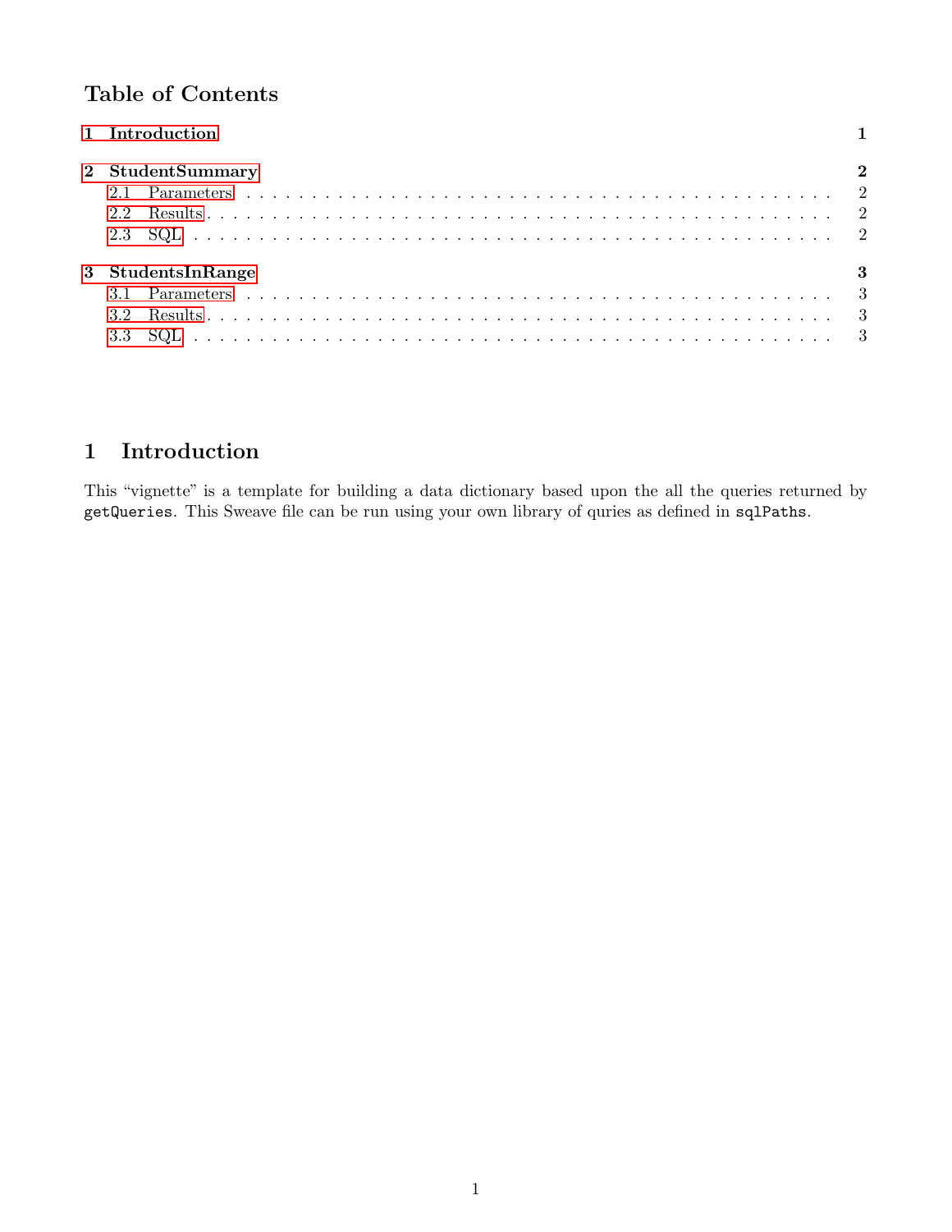## Table of Contents

| 1 Introduction           |     |
|--------------------------|-----|
| 2 StudentSummary<br>2.2  |     |
| 3 StudentsInRange<br>3.2 | - 3 |

# <span id="page-0-0"></span>1 Introduction

This "vignette" is a template for building a data dictionary based upon the all the queries returned by getQueries. This Sweave file can be run using your own library of quries as defined in sqlPaths.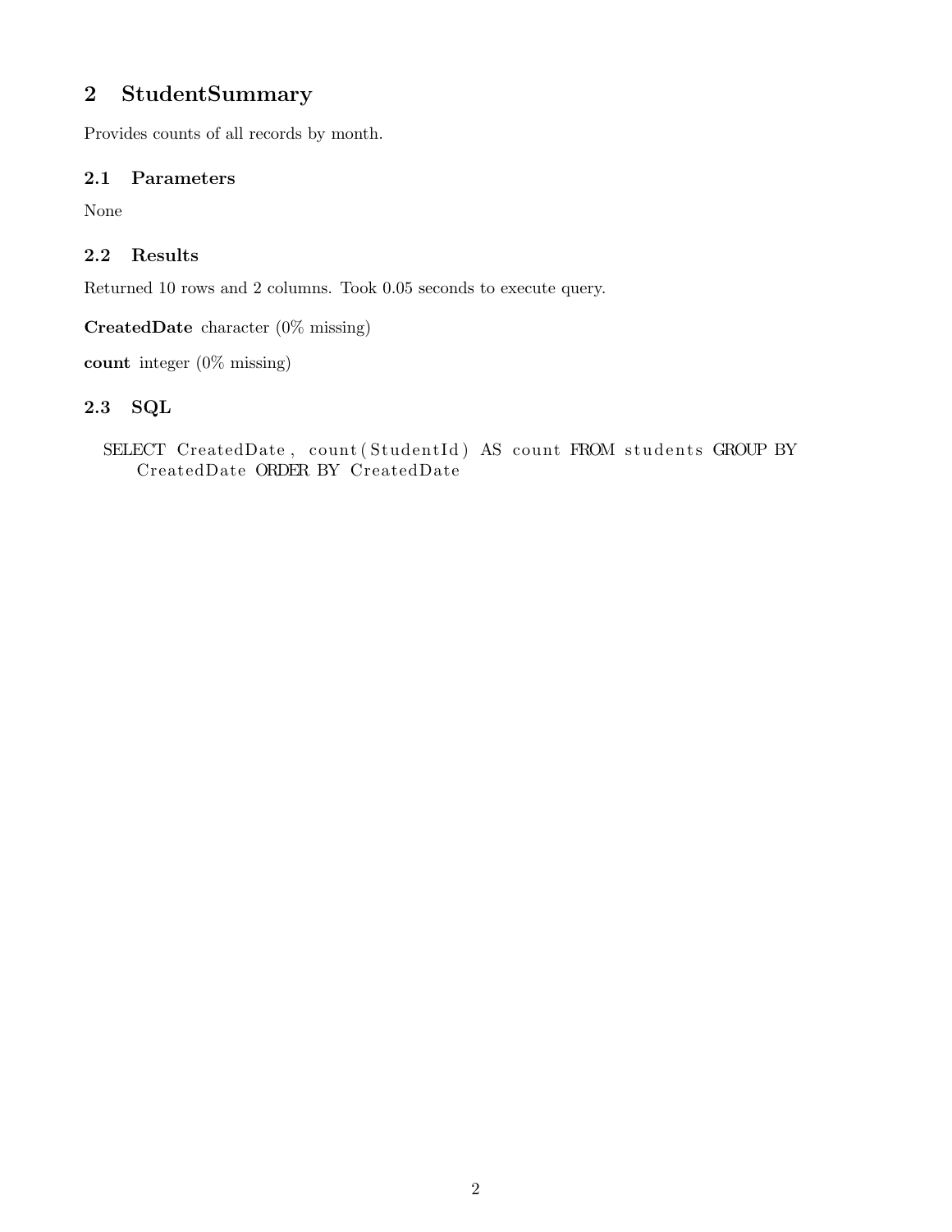## <span id="page-1-0"></span>2 StudentSummary

Provides counts of all records by month.

#### <span id="page-1-1"></span>2.1 Parameters

None

### <span id="page-1-2"></span>2.2 Results

Returned 10 rows and 2 columns. Took 0.05 seconds to execute query.

CreatedDate character (0% missing)

count integer (0% missing)

### <span id="page-1-3"></span>2.3 SQL

SELECT CreatedDate, count (StudentId) AS count FROM students GROUP BY CreatedDate ORDER BY CreatedDate